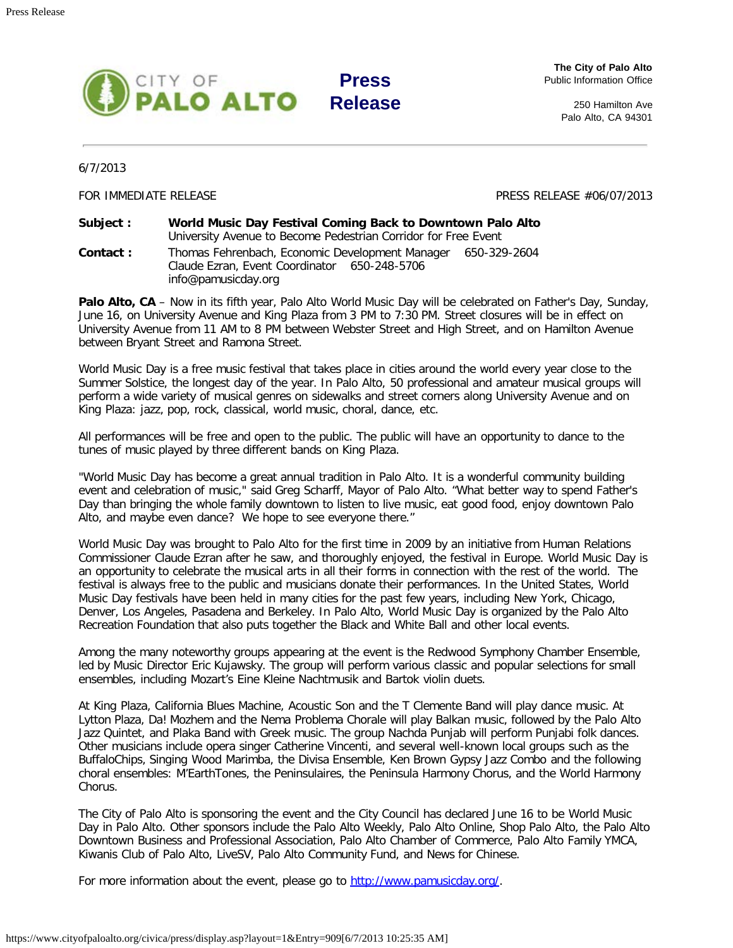

**The City of Palo Alto** Public Information Office

> 250 Hamilton Ave Palo Alto, CA 94301

6/7/2013

FOR IMMEDIATE RELEASE PRESS RELEASE PRESS RELEASE #06/07/2013

**Subject : World Music Day Festival Coming Back to Downtown Palo Alto** University Avenue to Become Pedestrian Corridor for Free Event **Contact :** Thomas Fehrenbach, Economic Development Manager 650-329-2604 Claude Ezran, Event Coordinator 650-248-5706 info@pamusicday.org

Palo Alto, CA - Now in its fifth year, Palo Alto World Music Day will be celebrated on Father's Day, Sunday, June 16, on University Avenue and King Plaza from 3 PM to 7:30 PM. Street closures will be in effect on University Avenue from 11 AM to 8 PM between Webster Street and High Street, and on Hamilton Avenue between Bryant Street and Ramona Street.

World Music Day is a free music festival that takes place in cities around the world every year close to the Summer Solstice, the longest day of the year. In Palo Alto, 50 professional and amateur musical groups will perform a wide variety of musical genres on sidewalks and street corners along University Avenue and on King Plaza: jazz, pop, rock, classical, world music, choral, dance, etc.

All performances will be free and open to the public. The public will have an opportunity to dance to the tunes of music played by three different bands on King Plaza.

"World Music Day has become a great annual tradition in Palo Alto. It is a wonderful community building event and celebration of music," said Greg Scharff, Mayor of Palo Alto. "What better way to spend Father's Day than bringing the whole family downtown to listen to live music, eat good food, enjoy downtown Palo Alto, and maybe even dance? We hope to see everyone there."

World Music Day was brought to Palo Alto for the first time in 2009 by an initiative from Human Relations Commissioner Claude Ezran after he saw, and thoroughly enjoyed, the festival in Europe. World Music Day is an opportunity to celebrate the musical arts in all their forms in connection with the rest of the world. The festival is always free to the public and musicians donate their performances. In the United States, World Music Day festivals have been held in many cities for the past few years, including New York, Chicago, Denver, Los Angeles, Pasadena and Berkeley. In Palo Alto, World Music Day is organized by the Palo Alto Recreation Foundation that also puts together the Black and White Ball and other local events.

Among the many noteworthy groups appearing at the event is the Redwood Symphony Chamber Ensemble, led by Music Director Eric Kujawsky. The group will perform various classic and popular selections for small ensembles, including Mozart's Eine Kleine Nachtmusik and Bartok violin duets.

At King Plaza, California Blues Machine, Acoustic Son and the T Clemente Band will play dance music. At Lytton Plaza, Da! Mozhem and the Nema Problema Chorale will play Balkan music, followed by the Palo Alto Jazz Quintet, and Plaka Band with Greek music. The group Nachda Punjab will perform Punjabi folk dances. Other musicians include opera singer Catherine Vincenti, and several well-known local groups such as the BuffaloChips, Singing Wood Marimba, the Divisa Ensemble, Ken Brown Gypsy Jazz Combo and the following choral ensembles: M'EarthTones, the Peninsulaires, the Peninsula Harmony Chorus, and the World Harmony Chorus.

The City of Palo Alto is sponsoring the event and the City Council has declared June 16 to be World Music Day in Palo Alto. Other sponsors include the Palo Alto Weekly, Palo Alto Online, Shop Palo Alto, the Palo Alto Downtown Business and Professional Association, Palo Alto Chamber of Commerce, Palo Alto Family YMCA, Kiwanis Club of Palo Alto, LiveSV, Palo Alto Community Fund, and News for Chinese.

For more information about the event, please go to [http://www.pamusicday.org/.](http://www.pamusicday.org/)